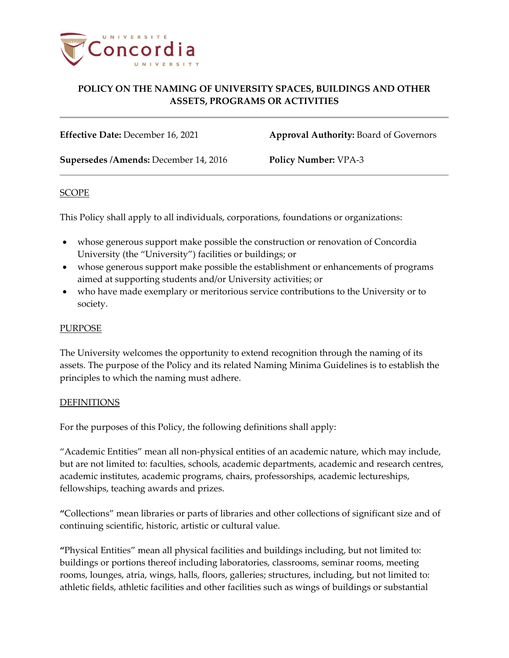

**Effective Date:** December 16, 2021 **Approval Authority:** Board of Governors

**Supersedes /Amends:** December 14, 2016 **Policy Number:** VPA-3

### SCOPE

This Policy shall apply to all individuals, corporations, foundations or organizations:

- whose generous support make possible the construction or renovation of Concordia University (the "University") facilities or buildings; or
- whose generous support make possible the establishment or enhancements of programs aimed at supporting students and/or University activities; or
- who have made exemplary or meritorious service contributions to the University or to society.

### PURPOSE

The University welcomes the opportunity to extend recognition through the naming of its assets. The purpose of the Policy and its related Naming Minima Guidelines is to establish the principles to which the naming must adhere.

#### DEFINITIONS

For the purposes of this Policy, the following definitions shall apply:

"Academic Entities" mean all non-physical entities of an academic nature, which may include, but are not limited to: faculties, schools, academic departments, academic and research centres, academic institutes, academic programs, chairs, professorships, academic lectureships, fellowships, teaching awards and prizes.

**"**Collections" mean libraries or parts of libraries and other collections of significant size and of continuing scientific, historic, artistic or cultural value.

**"**Physical Entities" mean all physical facilities and buildings including, but not limited to: buildings or portions thereof including laboratories, classrooms, seminar rooms, meeting rooms, lounges, atria, wings, halls, floors, galleries; structures, including, but not limited to: athletic fields, athletic facilities and other facilities such as wings of buildings or substantial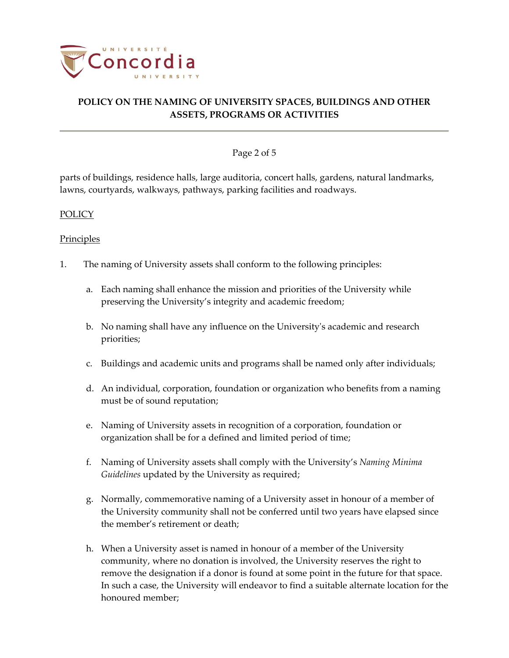

### Page 2 of 5

parts of buildings, residence halls, large auditoria, concert halls, gardens, natural landmarks, lawns, courtyards, walkways, pathways, parking facilities and roadways.

### POLICY

### Principles

- 1. The naming of University assets shall conform to the following principles:
	- a. Each naming shall enhance the mission and priorities of the University while preserving the University's integrity and academic freedom;
	- b. No naming shall have any influence on the University's academic and research priorities;
	- c. Buildings and academic units and programs shall be named only after individuals;
	- d. An individual, corporation, foundation or organization who benefits from a naming must be of sound reputation;
	- e. Naming of University assets in recognition of a corporation, foundation or organization shall be for a defined and limited period of time;
	- f. Naming of University assets shall comply with the University's *Naming Minima Guidelines* updated by the University as required;
	- g. Normally, commemorative naming of a University asset in honour of a member of the University community shall not be conferred until two years have elapsed since the member's retirement or death;
	- h. When a University asset is named in honour of a member of the University community, where no donation is involved, the University reserves the right to remove the designation if a donor is found at some point in the future for that space. In such a case, the University will endeavor to find a suitable alternate location for the honoured member;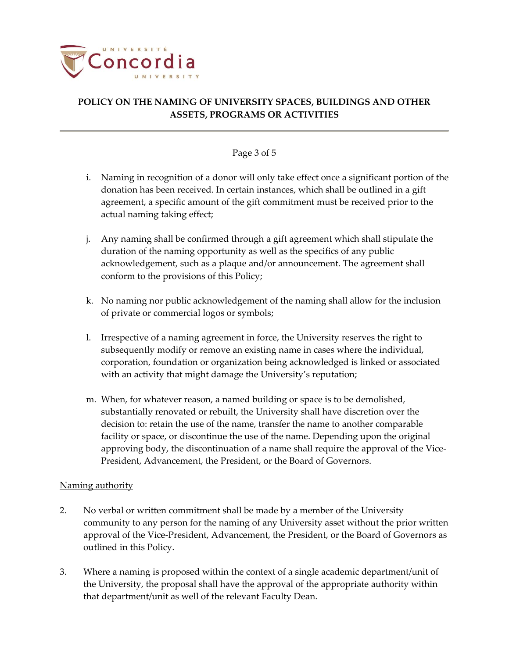

### Page 3 of 5

- i. Naming in recognition of a donor will only take effect once a significant portion of the donation has been received. In certain instances, which shall be outlined in a gift agreement, a specific amount of the gift commitment must be received prior to the actual naming taking effect;
- j. Any naming shall be confirmed through a gift agreement which shall stipulate the duration of the naming opportunity as well as the specifics of any public acknowledgement, such as a plaque and/or announcement. The agreement shall conform to the provisions of this Policy;
- k. No naming nor public acknowledgement of the naming shall allow for the inclusion of private or commercial logos or symbols;
- l. Irrespective of a naming agreement in force, the University reserves the right to subsequently modify or remove an existing name in cases where the individual, corporation, foundation or organization being acknowledged is linked or associated with an activity that might damage the University's reputation;
- m. When, for whatever reason, a named building or space is to be demolished, substantially renovated or rebuilt, the University shall have discretion over the decision to: retain the use of the name, transfer the name to another comparable facility or space, or discontinue the use of the name. Depending upon the original approving body, the discontinuation of a name shall require the approval of the Vice-President, Advancement, the President, or the Board of Governors.

### Naming authority

- 2. No verbal or written commitment shall be made by a member of the University community to any person for the naming of any University asset without the prior written approval of the Vice-President, Advancement, the President, or the Board of Governors as outlined in this Policy.
- 3. Where a naming is proposed within the context of a single academic department/unit of the University, the proposal shall have the approval of the appropriate authority within that department/unit as well of the relevant Faculty Dean.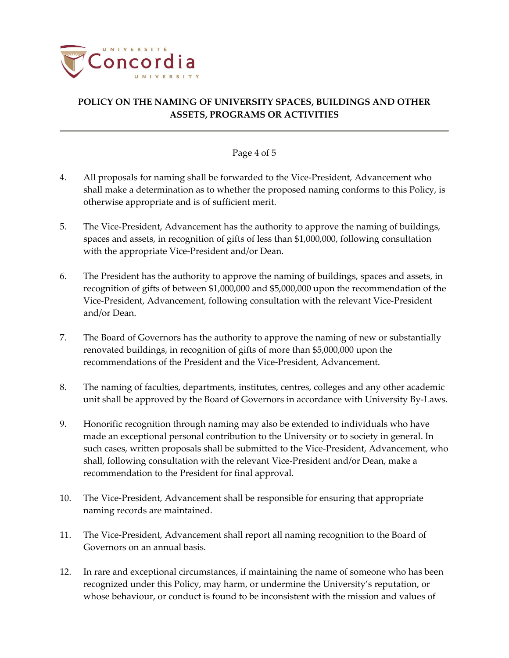

### Page 4 of 5

- 4. All proposals for naming shall be forwarded to the Vice-President, Advancement who shall make a determination as to whether the proposed naming conforms to this Policy, is otherwise appropriate and is of sufficient merit.
- 5. The Vice-President, Advancement has the authority to approve the naming of buildings, spaces and assets, in recognition of gifts of less than \$1,000,000, following consultation with the appropriate Vice-President and/or Dean.
- 6. The President has the authority to approve the naming of buildings, spaces and assets, in recognition of gifts of between \$1,000,000 and \$5,000,000 upon the recommendation of the Vice-President, Advancement, following consultation with the relevant Vice-President and/or Dean.
- 7. The Board of Governors has the authority to approve the naming of new or substantially renovated buildings, in recognition of gifts of more than \$5,000,000 upon the recommendations of the President and the Vice-President, Advancement.
- 8. The naming of faculties, departments, institutes, centres, colleges and any other academic unit shall be approved by the Board of Governors in accordance with University By-Laws.
- 9. Honorific recognition through naming may also be extended to individuals who have made an exceptional personal contribution to the University or to society in general. In such cases, written proposals shall be submitted to the Vice-President, Advancement, who shall, following consultation with the relevant Vice-President and/or Dean, make a recommendation to the President for final approval.
- 10. The Vice-President, Advancement shall be responsible for ensuring that appropriate naming records are maintained.
- 11. The Vice-President, Advancement shall report all naming recognition to the Board of Governors on an annual basis.
- 12. In rare and exceptional circumstances, if maintaining the name of someone who has been recognized under this Policy, may harm, or undermine the University's reputation, or whose behaviour, or conduct is found to be inconsistent with the mission and values of